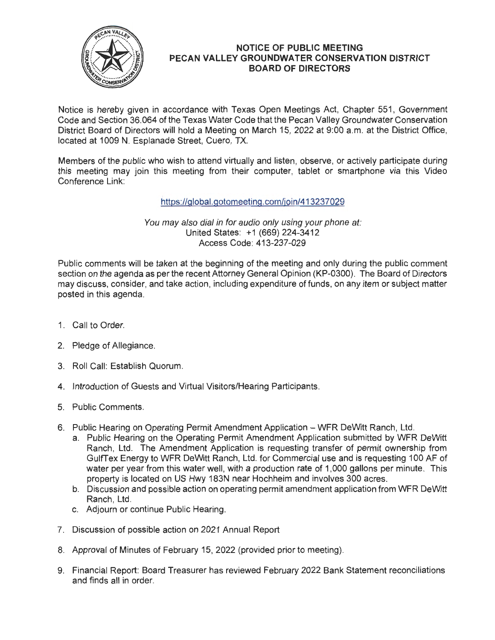

## **NOTICE OF PUBLIC MEETING PECAN VALLEY GROUNDWATER CONSERVATION DISTRICT BOARD OF DIRECTORS**

Notice is hereby given in accordance with Texas Open Meetings Act, Chapter 551, Government Code and Section 36.064 of the Texas Water Code that the Pecan Valley Groundwater Conservation District Board of Directors will hold a Meeting on March 15, 2022 at 9:00 a.m. at the District Office, located at 1009 N. Esplanade Street, Cuero, TX.

Members of the public who wish to attend virtually and listen, observe, or actively participate during this meeting may join this meeting from their computer, tablet or smartphone via this Video Conference Link:

https://global.gotomeeting.com/join/413237029

You may also dial in for audio only using your phone at: United States: +1 (669) 224-3412 Access Code: 413-237-029

Public comments will be taken at the beginning of the meeting and only during the public comment section on the agenda as per the recent Attorney General Opinion (KP-0300). The Board of Directors may discuss, consider, and take action, including expenditure of funds, on any item or subject matter posted in this agenda.

- 1. Call to Order.
- 2. Pledge of Allegiance.
- 3. Roll Call: Establish Quorum.
- 4. Introduction of Guests and Virtual Visitors/Hearing Participants.
- 5. Public Comments.
- 6. Public Hearing on Operating Permit Amendment Application WFR DeWitt Ranch, Ltd.
	- a. Public Hearing on the Operating Permit Amendment Application submitted by WFR DeWitt Ranch, Ltd. The Amendment Application is requesting transfer of permit ownership from GulfTex Energy to WFR DeWitt Ranch, Ltd. for Commercial use and is requesting 100 AF of water per year from this water well, with a production rate of 1,000 gallons per minute. This property is located on US Hwy 183N near Hochheim and involves 300 acres.
	- b. Discussion and possible action on operating permit amendment application from WFR DeWitt Ranch, Ltd.
	- c. Adjourn or continue Public Hearing.
- 7. Discussion of possible action on 2021 Annual Report
- 8. Approval of Minutes of February 15, 2022 (provided prior to meeting).
- 9. Financial Report: Board Treasurer has reviewed February 2022 Bank Statement reconciliations and finds all in order.